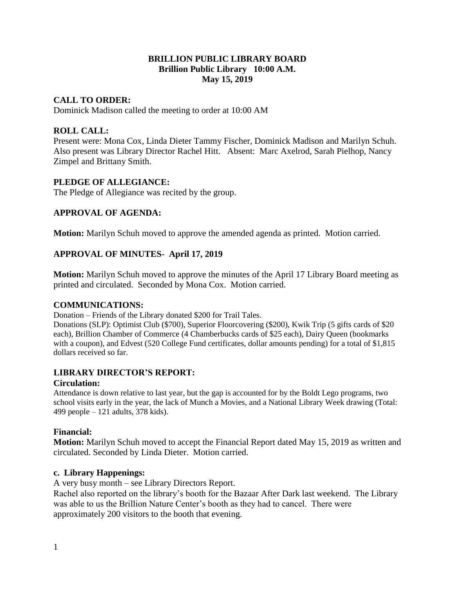## **BRILLION PUBLIC LIBRARY BOARD Brillion Public Library 10:00 A.M. May 15, 2019**

## **CALL TO ORDER:**

Dominick Madison called the meeting to order at 10:00 AM

#### **ROLL CALL:**

Present were: Mona Cox, Linda Dieter Tammy Fischer, Dominick Madison and Marilyn Schuh. Also present was Library Director Rachel Hitt. Absent: Marc Axelrod, Sarah Pielhop, Nancy Zimpel and Brittany Smith.

## **PLEDGE OF ALLEGIANCE:**

The Pledge of Allegiance was recited by the group.

## **APPROVAL OF AGENDA:**

**Motion:** Marilyn Schuh moved to approve the amended agenda as printed. Motion carried.

## **APPROVAL OF MINUTES- April 17, 2019**

**Motion:** Marilyn Schuh moved to approve the minutes of the April 17 Library Board meeting as printed and circulated. Seconded by Mona Cox. Motion carried.

#### **COMMUNICATIONS:**

Donation – Friends of the Library donated \$200 for Trail Tales.

Donations (SLP): Optimist Club (\$700), Superior Floorcovering (\$200), Kwik Trip (5 gifts cards of \$20 each), Brillion Chamber of Commerce (4 Chamberbucks cards of \$25 each), Dairy Queen (bookmarks with a coupon), and Edvest (520 College Fund certificates, dollar amounts pending) for a total of \$1,815 dollars received so far.

#### **LIBRARY DIRECTOR'S REPORT:**

#### **Circulation:**

Attendance is down relative to last year, but the gap is accounted for by the Boldt Lego programs, two school visits early in the year, the lack of Munch a Movies, and a National Library Week drawing (Total: 499 people – 121 adults, 378 kids).

#### **Financial:**

**Motion:** Marilyn Schuh moved to accept the Financial Report dated May 15, 2019 as written and circulated. Seconded by Linda Dieter. Motion carried.

#### **c. Library Happenings:**

A very busy month – see Library Directors Report.

Rachel also reported on the library's booth for the Bazaar After Dark last weekend. The Library was able to us the Brillion Nature Center's booth as they had to cancel. There were approximately 200 visitors to the booth that evening.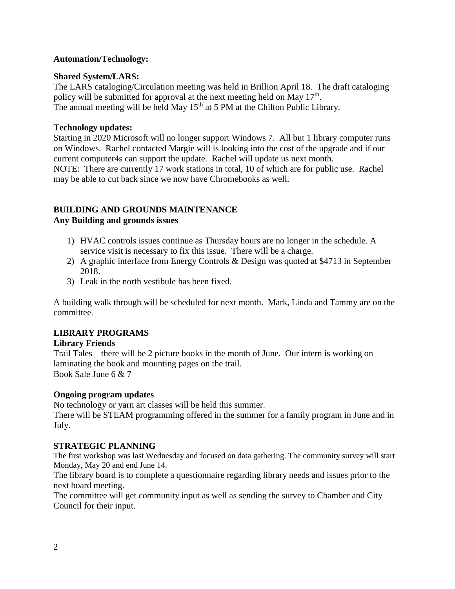## **Automation/Technology:**

## **Shared System/LARS:**

The LARS cataloging/Circulation meeting was held in Brillion April 18. The draft cataloging policy will be submitted for approval at the next meeting held on May 17<sup>th</sup>. The annual meeting will be held May  $15<sup>th</sup>$  at 5 PM at the Chilton Public Library.

## **Technology updates:**

Starting in 2020 Microsoft will no longer support Windows 7. All but 1 library computer runs on Windows. Rachel contacted Margie will is looking into the cost of the upgrade and if our current computer4s can support the update. Rachel will update us next month. NOTE: There are currently 17 work stations in total, 10 of which are for public use. Rachel may be able to cut back since we now have Chromebooks as well.

#### **BUILDING AND GROUNDS MAINTENANCE Any Building and grounds issues**

- 1) HVAC controls issues continue as Thursday hours are no longer in the schedule. A service visit is necessary to fix this issue. There will be a charge.
- 2) A graphic interface from Energy Controls & Design was quoted at \$4713 in September 2018.
- 3) Leak in the north vestibule has been fixed.

A building walk through will be scheduled for next month. Mark, Linda and Tammy are on the committee.

# **LIBRARY PROGRAMS**

# **Library Friends**

Trail Tales – there will be 2 picture books in the month of June. Our intern is working on laminating the book and mounting pages on the trail. Book Sale June 6 & 7

# **Ongoing program updates**

No technology or yarn art classes will be held this summer.

There will be STEAM programming offered in the summer for a family program in June and in July.

# **STRATEGIC PLANNING**

The first workshop was last Wednesday and focused on data gathering. The community survey will start Monday, May 20 and end June 14.

The library board is to complete a questionnaire regarding library needs and issues prior to the next board meeting.

The committee will get community input as well as sending the survey to Chamber and City Council for their input.